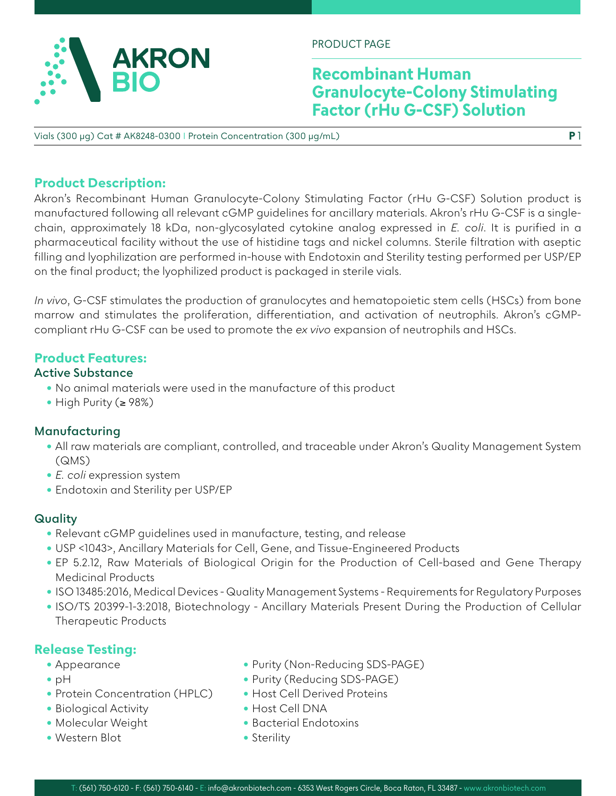

PRODUCT PAGE

# **Recombinant Human Granulocyte-Colony Stimulating Factor (rHu G-CSF) Solution**

**P** 1

Vials (300 µg) Cat # AK8248-0300 I Protein Concentration (300 μg/mL)

## **Product Description:**

Akron's Recombinant Human Granulocyte-Colony Stimulating Factor (rHu G-CSF) Solution product is manufactured following all relevant cGMP guidelines for ancillary materials. Akron's rHu G-CSF is a singlechain, approximately 18 kDa, non-glycosylated cytokine analog expressed in *E. coli*. It is purified in a pharmaceutical facility without the use of histidine tags and nickel columns. Sterile filtration with aseptic filling and lyophilization are performed in-house with Endotoxin and Sterility testing performed per USP/EP on the final product; the lyophilized product is packaged in sterile vials.

*In vivo*, G-CSF stimulates the production of granulocytes and hematopoietic stem cells (HSCs) from bone marrow and stimulates the proliferation, differentiation, and activation of neutrophils. Akron's cGMPcompliant rHu G-CSF can be used to promote the *ex vivo* expansion of neutrophils and HSCs.

## **Product Features:**

### **Active Substance**

- No animal materials were used in the manufacture of this product
- High Purity (≥ 98%)

## **Manufacturing**

- All raw materials are compliant, controlled, and traceable under Akron's Quality Management System (QMS)
- *E. coli* expression system
- Endotoxin and Sterility per USP/EP

## **Quality**

- Relevant cGMP guidelines used in manufacture, testing, and release
- USP <1043>, Ancillary Materials for Cell, Gene, and Tissue-Engineered Products
- EP 5.2.12, Raw Materials of Biological Origin for the Production of Cell-based and Gene Therapy Medicinal Products
- ISO 13485:2016, Medical Devices Quality Management Systems Requirements for Regulatory Purposes
- ISO/TS 20399-1-3:2018, Biotechnology Ancillary Materials Present During the Production of Cellular Therapeutic Products

## **Release Testing:**

- Appearance
- pH
- Protein Concentration (HPLC)
- Biological Activity
- Molecular Weight
- Western Blot
- Purity (Non-Reducing SDS-PAGE)
- Purity (Reducing SDS-PAGE)
- Host Cell Derived Proteins
- Host Cell DNA
- Bacterial Endotoxins
- Sterility